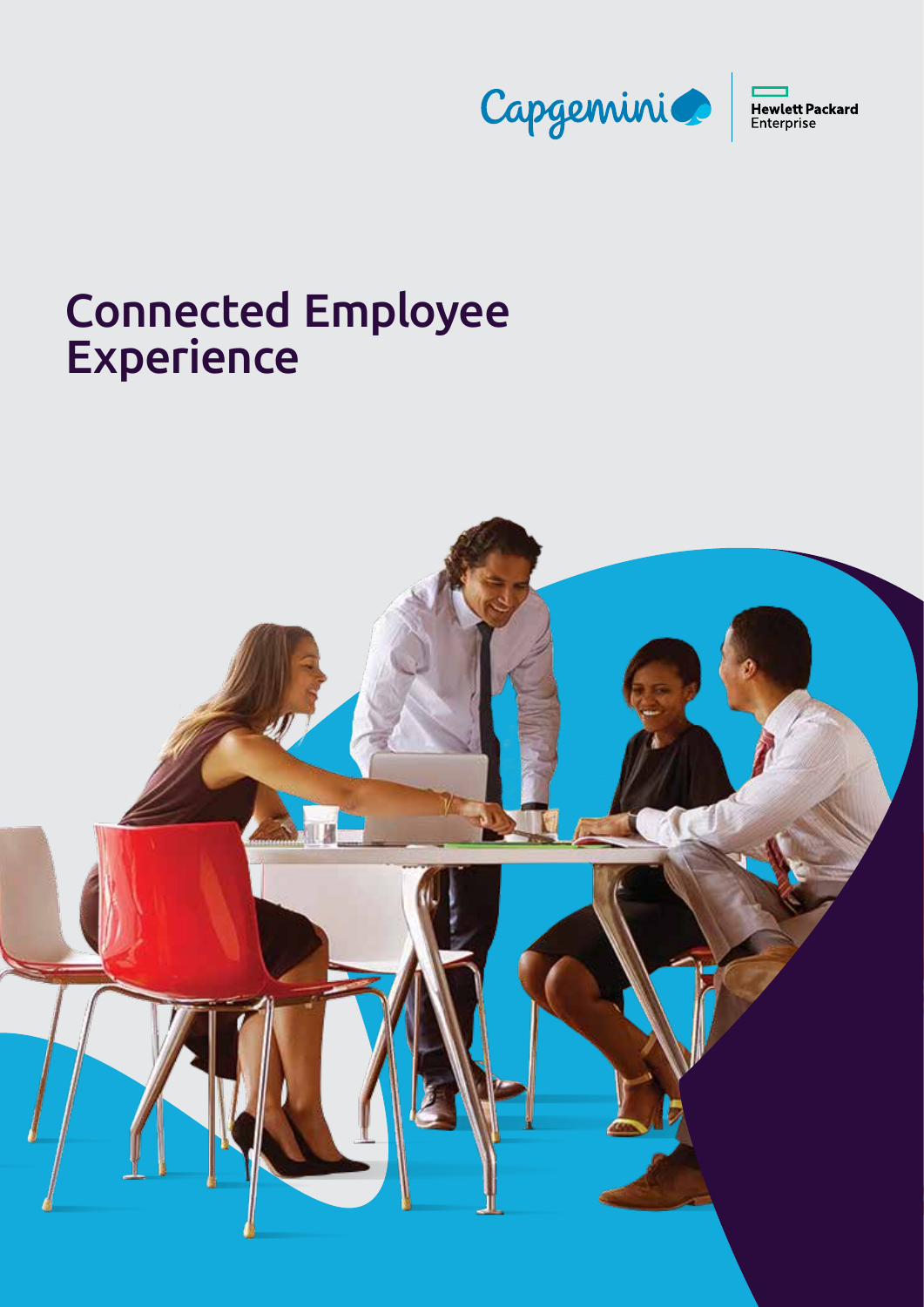

# Connected Employee **Experience**

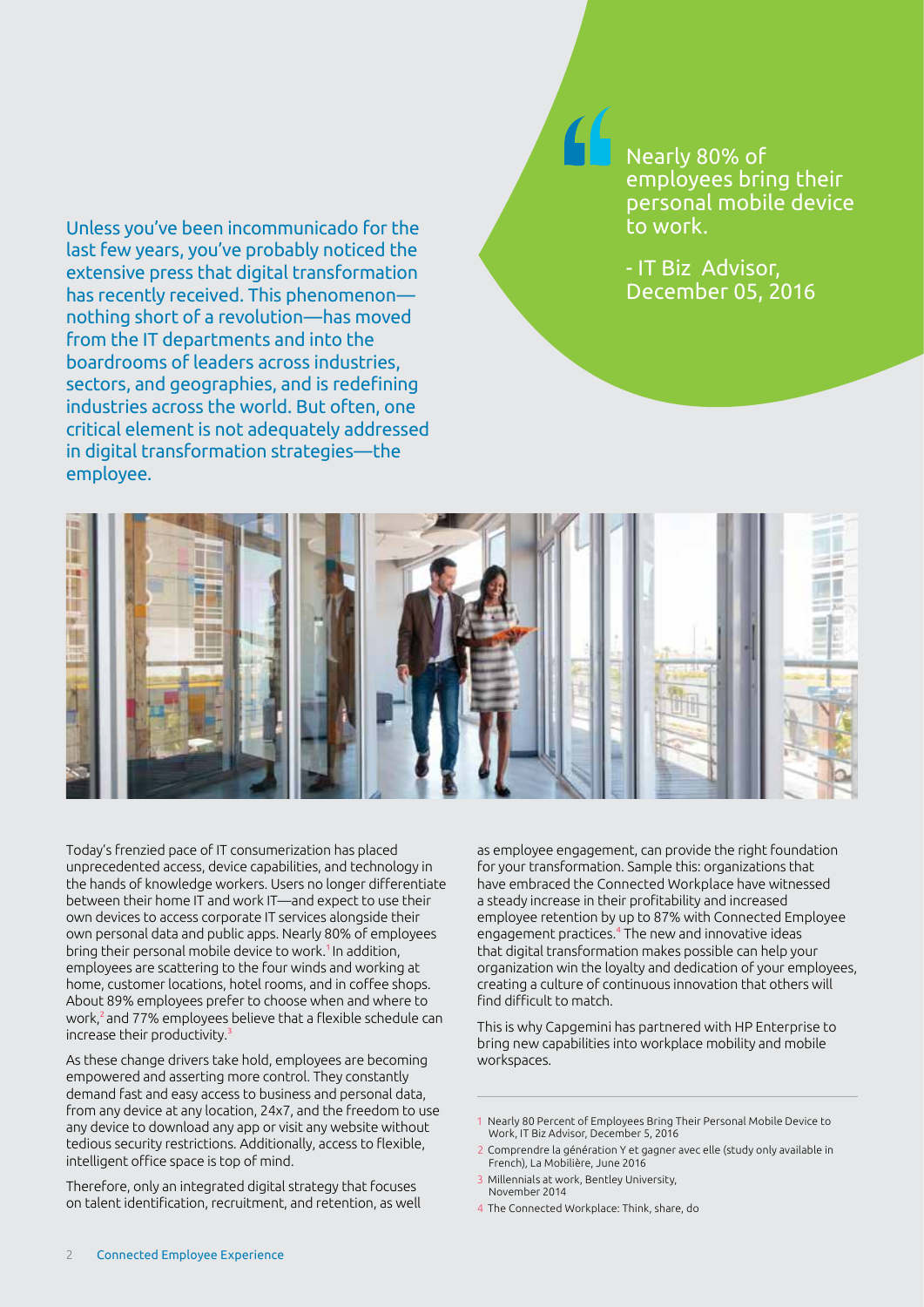Unless you've been incommunicado for the last few years, you've probably noticed the extensive press that digital transformation has recently received. This phenomenon nothing short of a revolution—has moved from the IT departments and into the boardrooms of leaders across industries, sectors, and geographies, and is redefining industries across the world. But often, one critical element is not adequately addressed in digital transformation strategies—the employee.

Nearly 80% of employees bring their personal mobile device to work.

- IT Biz Advisor, December 05, 2016



Today's frenzied pace of IT consumerization has placed unprecedented access, device capabilities, and technology in the hands of knowledge workers. Users no longer differentiate between their home IT and work IT—and expect to use their own devices to access corporate IT services alongside their own personal data and public apps. Nearly 80% of employees bring their personal mobile device to work.<sup>1</sup> In addition, employees are scattering to the four winds and working at home, customer locations, hotel rooms, and in coffee shops. About 89% employees prefer to choose when and where to work,2and 77% employees believe that a flexible schedule can increase their productivity.3

As these change drivers take hold, employees are becoming empowered and asserting more control. They constantly demand fast and easy access to business and personal data, from any device at any location, 24x7, and the freedom to use any device to download any app or visit any website without tedious security restrictions. Additionally, access to flexible, intelligent office space is top of mind.

Therefore, only an integrated digital strategy that focuses on talent identification, recruitment, and retention, as well as employee engagement, can provide the right foundation for your transformation. Sample this: organizations that have embraced the Connected Workplace have witnessed a steady increase in their profitability and increased employee retention by up to 87% with Connected Employee engagement practices.4 The new and innovative ideas that digital transformation makes possible can help your organization win the loyalty and dedication of your employees, creating a culture of continuous innovation that others will find difficult to match.

This is why Capgemini has partnered with HP Enterprise to bring new capabilities into workplace mobility and mobile workspaces.

- 1 Nearly 80 Percent of Employees Bring Their Personal Mobile Device to Work, IT Biz Advisor, December 5, 2016
- 2 Comprendre la génération Y et gagner avec elle (study only available in French), La Mobilière, June 2016
- 3 Millennials at work, Bentley University, November 2014
- 4 The Connected Workplace: Think, share, do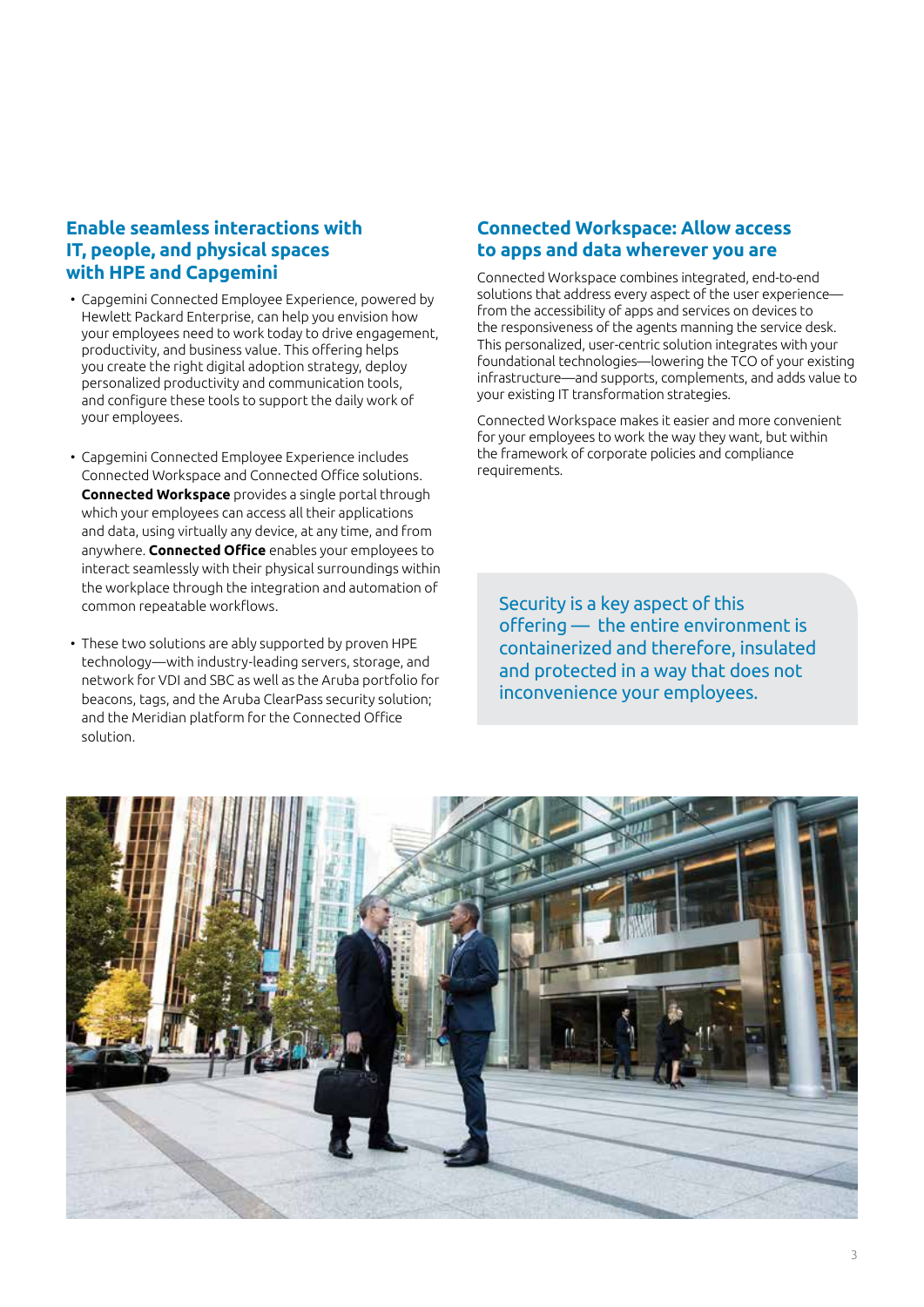#### **Enable seamless interactions with IT, people, and physical spaces with HPE and Capgemini**

- Capgemini Connected Employee Experience, powered by Hewlett Packard Enterprise, can help you envision how your employees need to work today to drive engagement, productivity, and business value. This offering helps you create the right digital adoption strategy, deploy personalized productivity and communication tools, and configure these tools to support the daily work of your employees.
- Capgemini Connected Employee Experience includes Connected Workspace and Connected Office solutions. **Connected Workspace** provides a single portal through which your employees can access all their applications and data, using virtually any device, at any time, and from anywhere. **Connected Office** enables your employees to interact seamlessly with their physical surroundings within the workplace through the integration and automation of common repeatable workflows.
- These two solutions are ably supported by proven HPE technology—with industry-leading servers, storage, and network for VDI and SBC as well as the Aruba portfolio for beacons, tags, and the Aruba ClearPass security solution; and the Meridian platform for the Connected Office solution.

#### **Connected Workspace: Allow access to apps and data wherever you are**

Connected Workspace combines integrated, end-to-end solutions that address every aspect of the user experience from the accessibility of apps and services on devices to the responsiveness of the agents manning the service desk. This personalized, user-centric solution integrates with your foundational technologies—lowering the TCO of your existing infrastructure—and supports, complements, and adds value to your existing IT transformation strategies.

Connected Workspace makes it easier and more convenient for your employees to work the way they want, but within the framework of corporate policies and compliance requirements.

Security is a key aspect of this offering — the entire environment is containerized and therefore, insulated and protected in a way that does not inconvenience your employees.

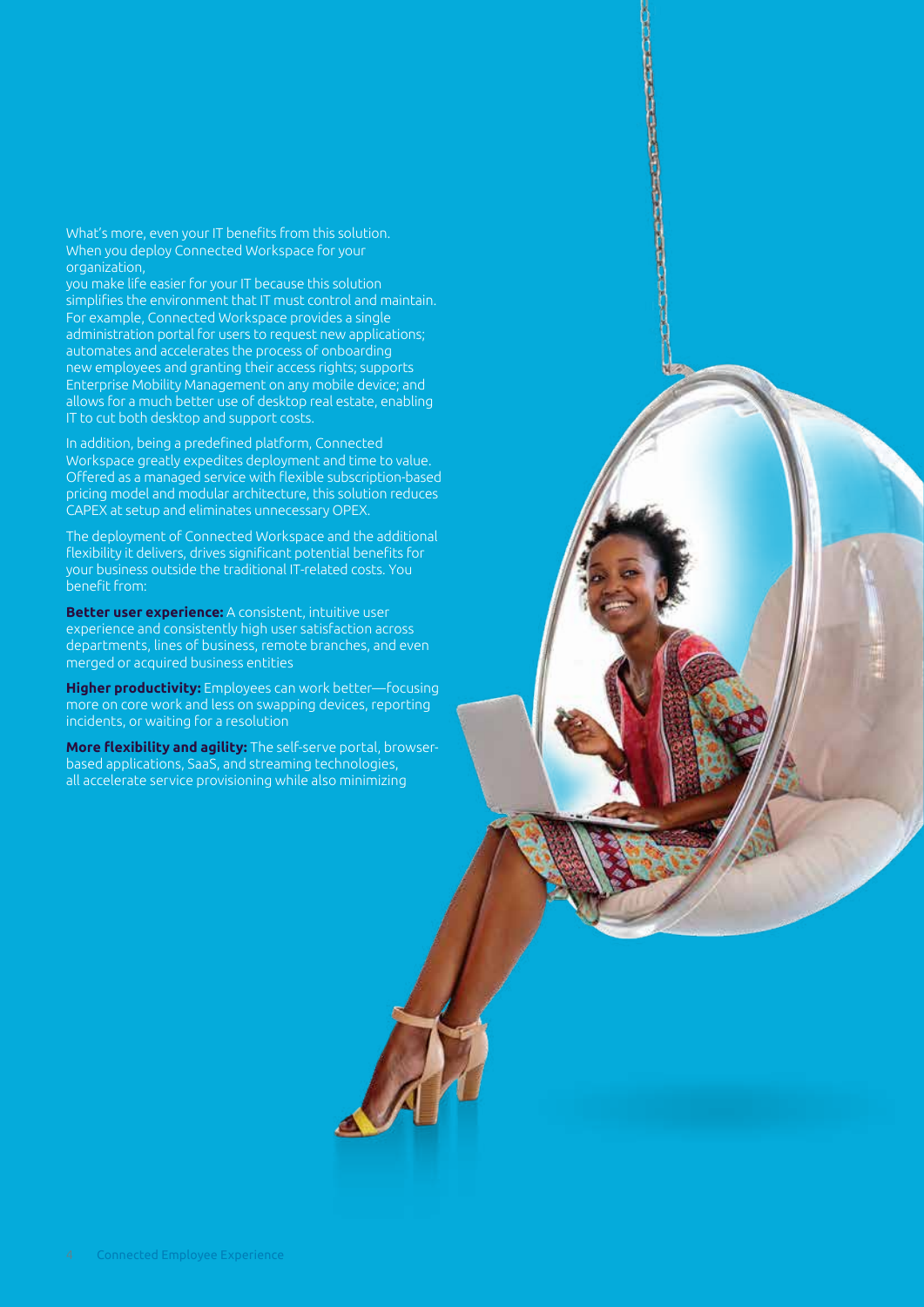What's more, even your IT benefits from this solution. When you deploy Connected Workspace for your organization,

you make life easier for your IT because this solution simplifies the environment that IT must control and maintain. For example, Connected Workspace provides a single administration portal for users to request new applications; automates and accelerates the process of onboarding new employees and granting their access rights; supports Enterprise Mobility Management on any mobile device; and allows for a much better use of desktop real estate, enabling IT to cut both desktop and support costs.

**CONTRACTORS** 

In addition, being a predefined platform, Connected Workspace greatly expedites deployment and time to value. Offered as a managed service with flexible subscription-based pricing model and modular architecture, this solution reduces CAPEX at setup and eliminates unnecessary OPEX.

The deployment of Connected Workspace and the additional flexibility it delivers, drives significant potential benefits for your business outside the traditional IT-related costs. You benefit from:

**Better user experience:** A consistent, intuitive user experience and consistently high user satisfaction across departments, lines of business, remote branches, and even merged or acquired business entities

**Higher productivity:** Employees can work better—focusing more on core work and less on swapping devices, reporting incidents, or waiting for a resolution

**More flexibility and agility:** The self-serve portal, browserbased applications, SaaS, and streaming technologies, all accelerate service provisioning while also minimizing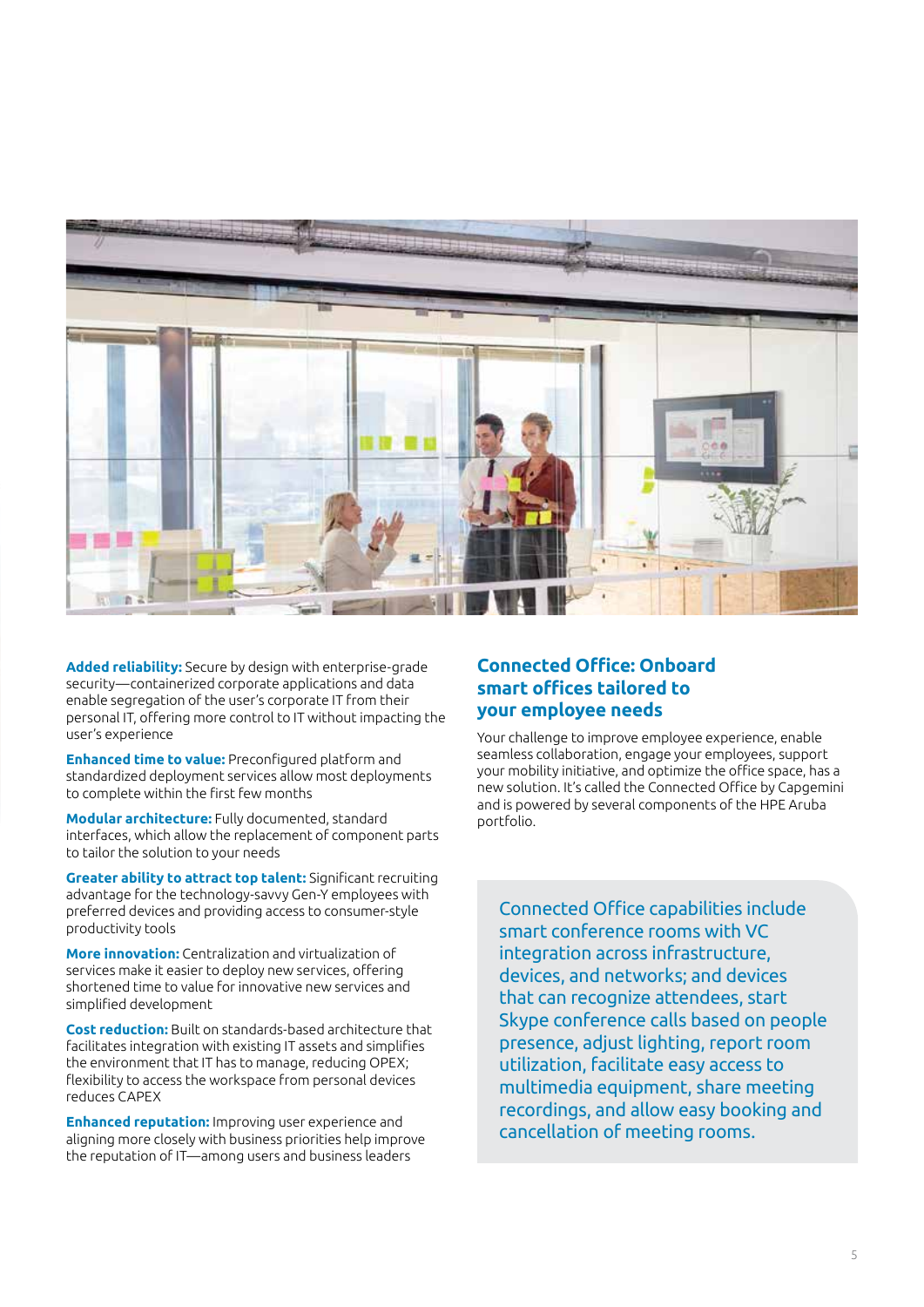

**Added reliability:** Secure by design with enterprise-grade security—containerized corporate applications and data enable segregation of the user's corporate IT from their personal IT, offering more control to IT without impacting the user's experience

**Enhanced time to value:** Preconfigured platform and standardized deployment services allow most deployments to complete within the first few months

**Modular architecture:** Fully documented, standard interfaces, which allow the replacement of component parts to tailor the solution to your needs

**Greater ability to attract top talent:** Significant recruiting advantage for the technology-savvy Gen-Y employees with preferred devices and providing access to consumer-style productivity tools

**More innovation:** Centralization and virtualization of services make it easier to deploy new services, offering shortened time to value for innovative new services and simplified development

**Cost reduction:** Built on standards-based architecture that facilitates integration with existing IT assets and simplifies the environment that IT has to manage, reducing OPEX; flexibility to access the workspace from personal devices reduces CAPEX

**Enhanced reputation:** Improving user experience and aligning more closely with business priorities help improve the reputation of IT—among users and business leaders

#### **Connected Office: Onboard smart offices tailored to your employee needs**

Your challenge to improve employee experience, enable seamless collaboration, engage your employees, support your mobility initiative, and optimize the office space, has a new solution. It's called the Connected Office by Capgemini and is powered by several components of the HPE Aruba portfolio.

Connected Office capabilities include smart conference rooms with VC integration across infrastructure, devices, and networks; and devices that can recognize attendees, start Skype conference calls based on people presence, adjust lighting, report room utilization, facilitate easy access to multimedia equipment, share meeting recordings, and allow easy booking and cancellation of meeting rooms.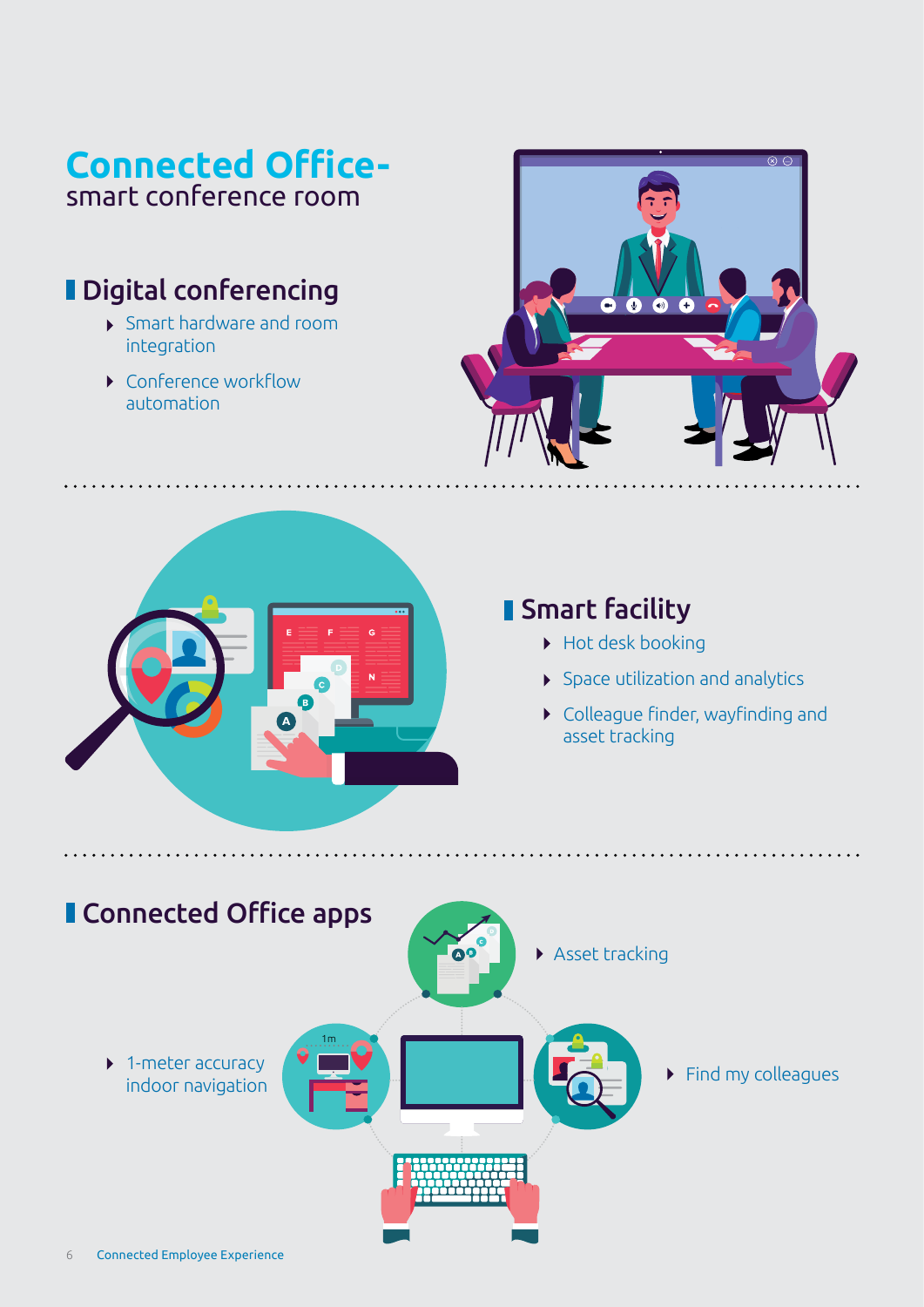# **Connected Office**smart conference room

# **Digital conferencing**

- Smart hardware and room integration
- ▶ Conference workflow automation





## **Smart facility**

- Hot desk booking
- $\blacktriangleright$  Space utilization and analytics
- Colleague finder, wayfinding and asset tracking

**AAAAAAAAA** 

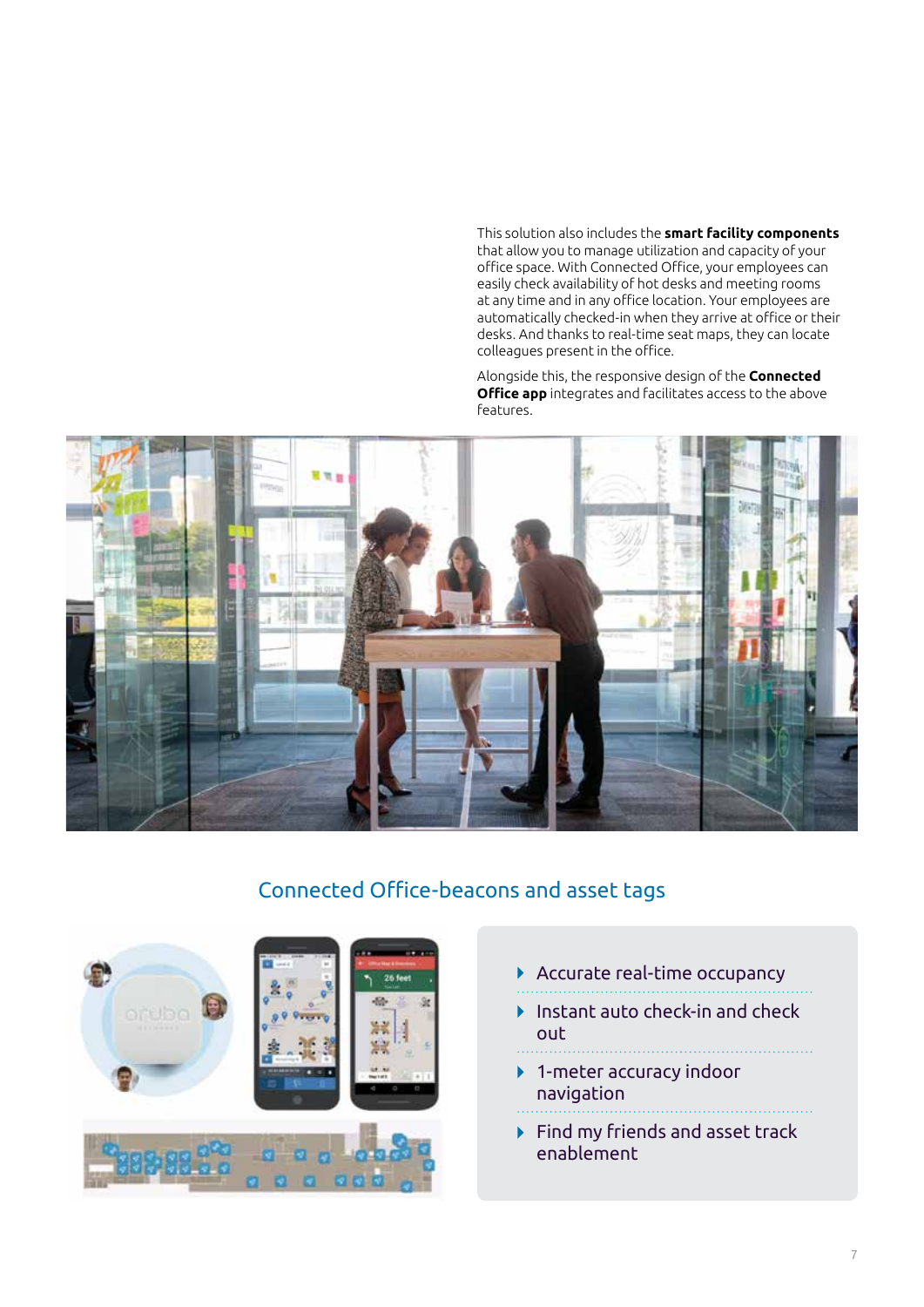This solution also includes the **smart facility components**  that allow you to manage utilization and capacity of your office space. With Connected Office, your employees can easily check availability of hot desks and meeting rooms at any time and in any office location. Your employees are automatically checked-in when they arrive at office or their desks. And thanks to real-time seat maps, they can locate colleagues present in the office.

Alongside this, the responsive design of the **Connected Office app** integrates and facilitates access to the above features.



### Connected Office-beacons and asset tags



- Accurate real-time occupancy
- Instant auto check-in and check  $\blacktriangleright$ out
- 
- ▶ 1-meter accuracy indoor navigation
- $\blacktriangleright$  Find my friends and asset track enablement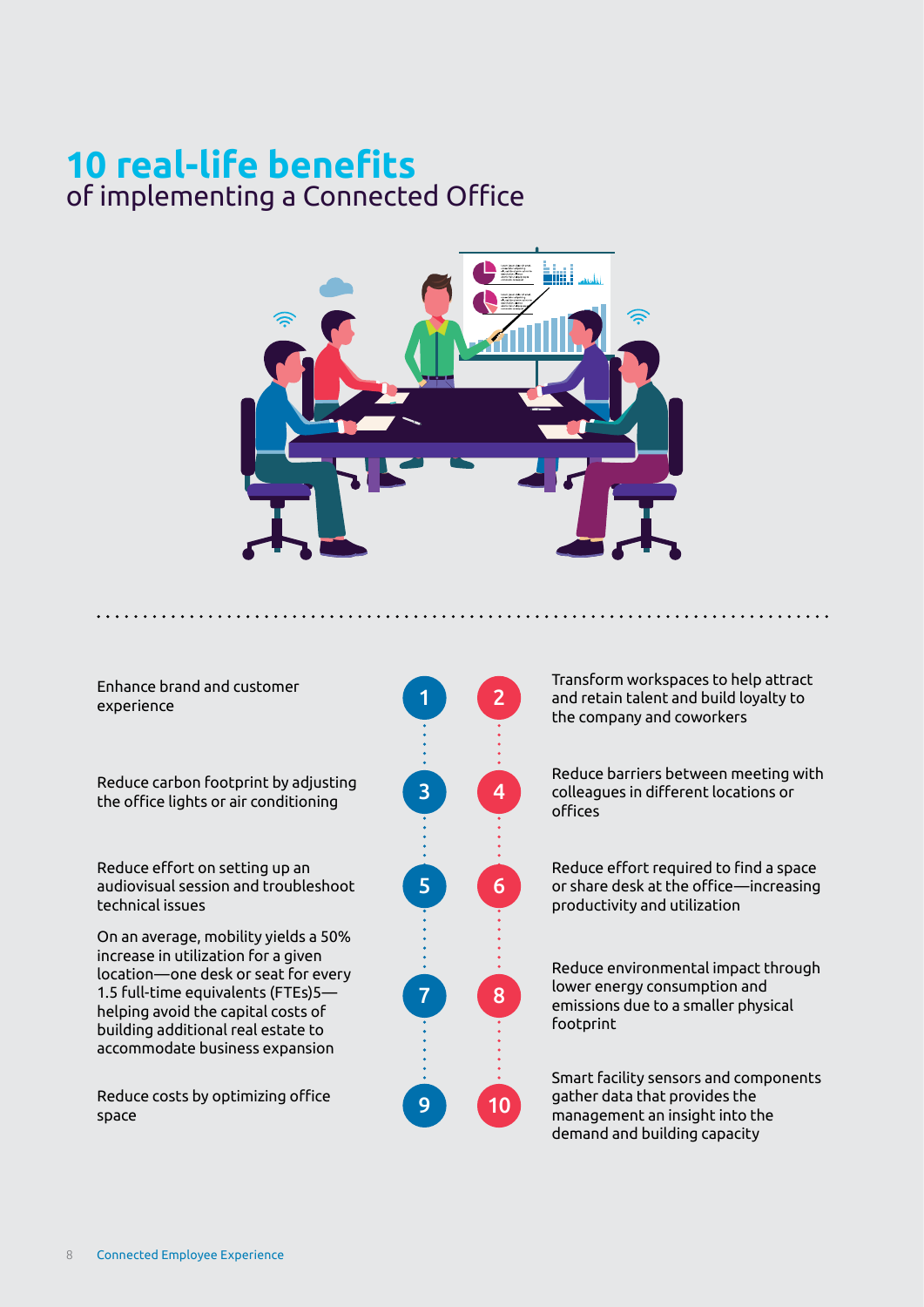# **10 real-life benefits** of implementing a Connected Office



Enhance brand and customer experience

Reduce carbon footprint by adjusting the office lights or air conditioning

Reduce effort on setting up an audiovisual session and troubleshoot technical issues

On an average, mobility yields a 50% increase in utilization for a given location—one desk or seat for every 1.5 full-time equivalents (FTEs)5 helping avoid the capital costs of building additional real estate to accommodate business expansion

Reduce costs by optimizing office space



Transform workspaces to help attract and retain talent and build loyalty to the company and coworkers

Reduce barriers between meeting with colleagues in different locations or offices

Reduce effort required to find a space or share desk at the office—increasing productivity and utilization

Reduce environmental impact through lower energy consumption and emissions due to a smaller physical footprint

Smart facility sensors and components gather data that provides the management an insight into the demand and building capacity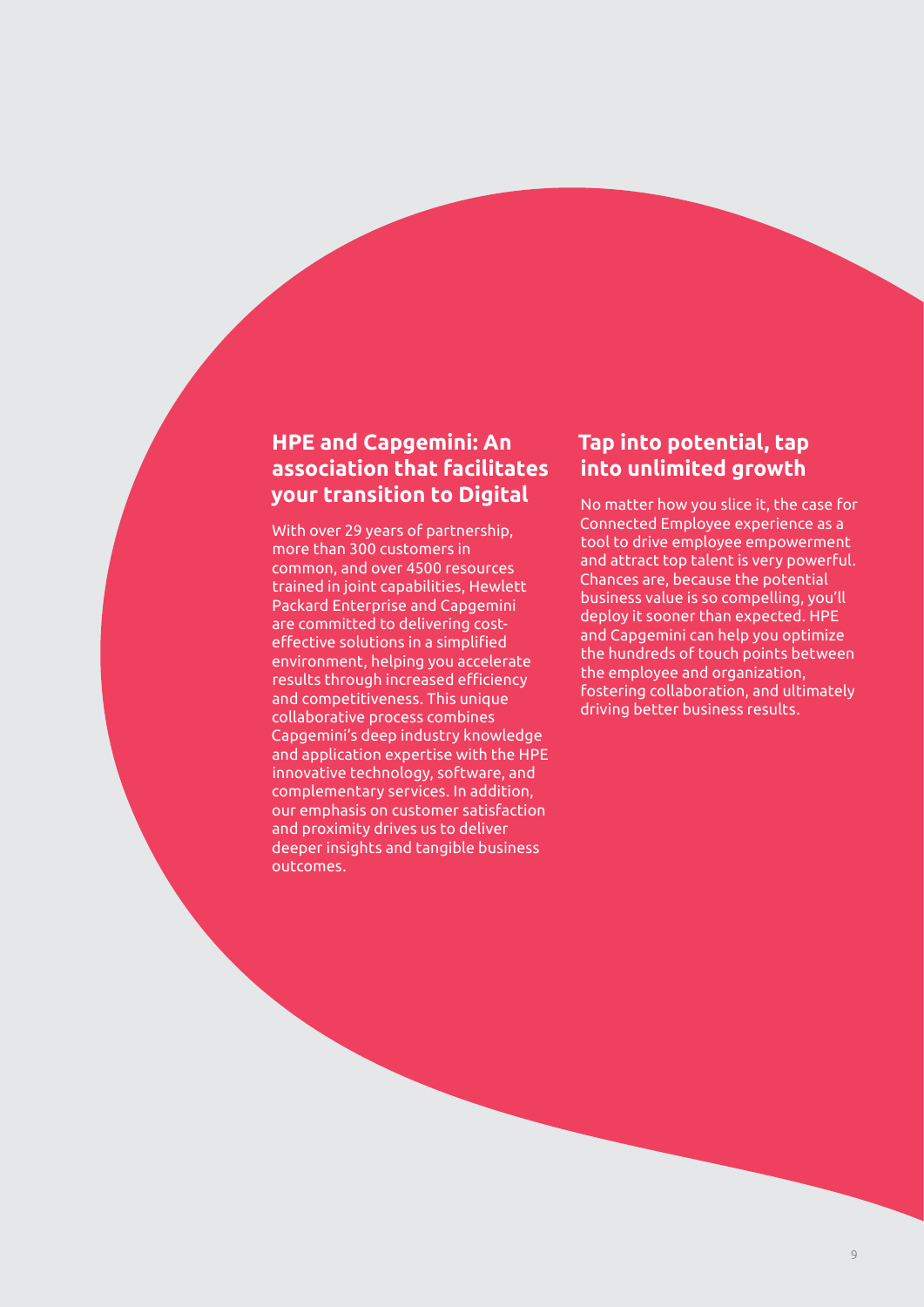### **HPE and Capgemini: An association that facilitates your transition to Digital**

With over 29 years of partnership, more than 300 customers in common, and over 4500 resources trained in joint capabilities, Hewlett Packard Enterprise and Capgemini are committed to delivering costeffective solutions in a simplified environment, helping you accelerate results through increased efficiency and competitiveness. This unique collaborative process combines Capgemini's deep industry knowledge and application expertise with the HPE innovative technology, software, and complementary services. In addition, our emphasis on customer satisfaction and proximity drives us to deliver deeper insights and tangible business outcomes.

### **Tap into potential, tap into unlimited growth**

No matter how you slice it, the case for Connected Employee experience as a tool to drive employee empowerment and attract top talent is very powerful. Chances are, because the potential business value is so compelling, you'll deploy it sooner than expected. HPE and Capgemini can help you optimize the hundreds of touch points between the employee and organization, fostering collaboration, and ultimately driving better business results.